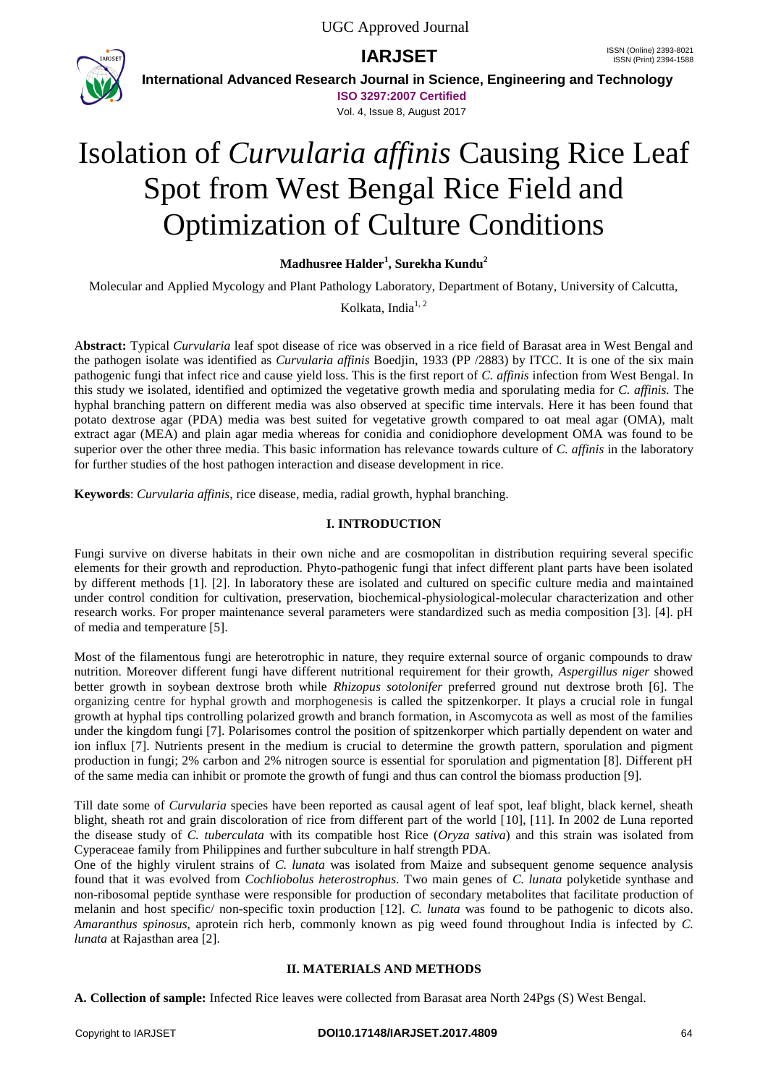

**International Advanced Research Journal in Science, Engineering and Technology**

**ISO 3297:2007 Certified**

Vol. 4, Issue 8, August 2017

# Isolation of *Curvularia affinis* Causing Rice Leaf Spot from West Bengal Rice Field and Optimization of Culture Conditions

**Madhusree Halder<sup>1</sup> , Surekha Kundu<sup>2</sup>**

Molecular and Applied Mycology and Plant Pathology Laboratory, Department of Botany, University of Calcutta,

Kolkata, India $1, 2$ 

A**bstract:** Typical *Curvularia* leaf spot disease of rice was observed in a rice field of Barasat area in West Bengal and the pathogen isolate was identified as *Curvularia affinis* Boedjin, 1933 (PP /2883) by ITCC. It is one of the six main pathogenic fungi that infect rice and cause yield loss. This is the first report of *C. affinis* infection from West Bengal. In this study we isolated, identified and optimized the vegetative growth media and sporulating media for *C. affinis.* The hyphal branching pattern on different media was also observed at specific time intervals. Here it has been found that potato dextrose agar (PDA) media was best suited for vegetative growth compared to oat meal agar (OMA), malt extract agar (MEA) and plain agar media whereas for conidia and conidiophore development OMA was found to be superior over the other three media. This basic information has relevance towards culture of *C. affinis* in the laboratory for further studies of the host pathogen interaction and disease development in rice.

**Keywords**: *Curvularia affinis,* rice disease, media, radial growth, hyphal branching.

### **I. INTRODUCTION**

Fungi survive on diverse habitats in their own niche and are cosmopolitan in distribution requiring several specific elements for their growth and reproduction. Phyto-pathogenic fungi that infect different plant parts have been isolated by different methods [1]. [2]. In laboratory these are isolated and cultured on specific culture media and maintained under control condition for cultivation, preservation, biochemical-physiological-molecular characterization and other research works. For proper maintenance several parameters were standardized such as media composition [3]. [4]. pH of media and temperature [5].

Most of the filamentous fungi are heterotrophic in nature, they require external source of organic compounds to draw nutrition. Moreover different fungi have different nutritional requirement for their growth, *Aspergillus niger* showed better growth in soybean dextrose broth while *Rhizopus sotolonifer* preferred ground nut dextrose broth [6]. The organizing centre for hyphal growth and morphogenesis is called the spitzenkorper. It plays a crucial role in fungal growth at hyphal tips controlling polarized growth and branch formation, in Ascomycota as well as most of the families under the kingdom fungi [7]. Polarisomes control the position of spitzenkorper which partially dependent on water and ion influx [7]. Nutrients present in the medium is crucial to determine the growth pattern, sporulation and pigment production in fungi; 2% carbon and 2% nitrogen source is essential for sporulation and pigmentation [8]. Different pH of the same media can inhibit or promote the growth of fungi and thus can control the biomass production [9].

Till date some of *Curvularia* species have been reported as causal agent of leaf spot, leaf blight, black kernel, sheath blight, sheath rot and grain discoloration of rice from different part of the world [10], [11]. In 2002 de Luna reported the disease study of *C. tuberculata* with its compatible host Rice (*Oryza sativa*) and this strain was isolated from Cyperaceae family from Philippines and further subculture in half strength PDA.

One of the highly virulent strains of *C. lunata* was isolated from Maize and subsequent genome sequence analysis found that it was evolved from *Cochliobolus heterostrophus*. Two main genes of *C. lunata* polyketide synthase and non-ribosomal peptide synthase were responsible for production of secondary metabolites that facilitate production of melanin and host specific/ non-specific toxin production [12]. *C. lunata* was found to be pathogenic to dicots also. *Amaranthus spinosus*, aprotein rich herb, commonly known as pig weed found throughout India is infected by *C. lunata* at Rajasthan area [2].

# **II. MATERIALS AND METHODS**

**A. Collection of sample:** Infected Rice leaves were collected from Barasat area North 24Pgs (S) West Bengal.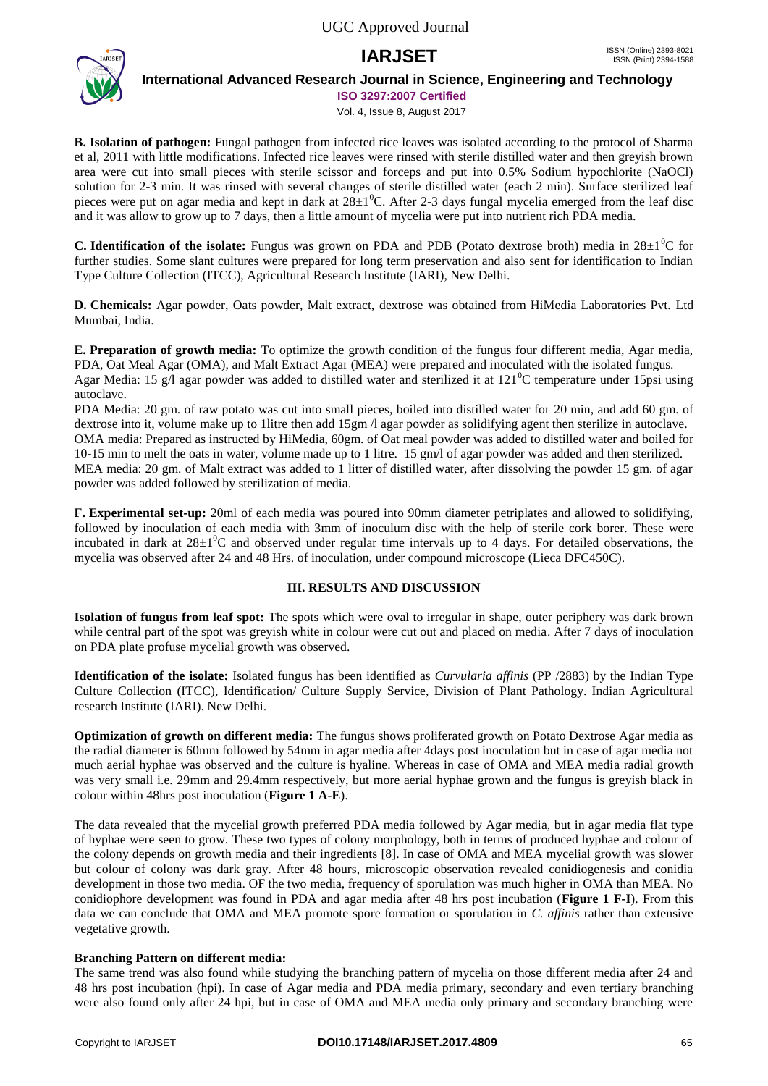

## **International Advanced Research Journal in Science, Engineering and Technology**

**ISO 3297:2007 Certified**

Vol. 4, Issue 8, August 2017

**B. Isolation of pathogen:** Fungal pathogen from infected rice leaves was isolated according to the protocol of Sharma et al, 2011 with little modifications. Infected rice leaves were rinsed with sterile distilled water and then greyish brown area were cut into small pieces with sterile scissor and forceps and put into 0.5% Sodium hypochlorite (NaOCl) solution for 2-3 min. It was rinsed with several changes of sterile distilled water (each 2 min). Surface sterilized leaf pieces were put on agar media and kept in dark at  $28\pm1^0C$ . After 2-3 days fungal mycelia emerged from the leaf disc and it was allow to grow up to 7 days, then a little amount of mycelia were put into nutrient rich PDA media.

**C. Identification of the isolate:** Fungus was grown on PDA and PDB (Potato dextrose broth) media in  $28\pm10^{\circ}$ C for further studies. Some slant cultures were prepared for long term preservation and also sent for identification to Indian Type Culture Collection (ITCC), Agricultural Research Institute (IARI), New Delhi.

**D. Chemicals:** Agar powder, Oats powder, Malt extract, dextrose was obtained from HiMedia Laboratories Pvt. Ltd Mumbai, India.

**E. Preparation of growth media:** To optimize the growth condition of the fungus four different media, Agar media, PDA, Oat Meal Agar (OMA), and Malt Extract Agar (MEA) were prepared and inoculated with the isolated fungus. Agar Media: 15 g/l agar powder was added to distilled water and sterilized it at  $121^{\circ}$ C temperature under 15psi using autoclave.

PDA Media: 20 gm. of raw potato was cut into small pieces, boiled into distilled water for 20 min, and add 60 gm. of dextrose into it, volume make up to 1 litre then add 15gm /l agar powder as solidifying agent then sterilize in autoclave. OMA media: Prepared as instructed by HiMedia, 60gm. of Oat meal powder was added to distilled water and boiled for 10-15 min to melt the oats in water, volume made up to 1 litre. 15 gm/l of agar powder was added and then sterilized. MEA media: 20 gm. of Malt extract was added to 1 litter of distilled water, after dissolving the powder 15 gm. of agar powder was added followed by sterilization of media.

**F. Experimental set-up:** 20ml of each media was poured into 90mm diameter petriplates and allowed to solidifying, followed by inoculation of each media with 3mm of inoculum disc with the help of sterile cork borer. These were incubated in dark at  $28\pm1\textsuperscript{0}$ C and observed under regular time intervals up to 4 days. For detailed observations, the mycelia was observed after 24 and 48 Hrs. of inoculation, under compound microscope (Lieca DFC450C).

# **III. RESULTS AND DISCUSSION**

**Isolation of fungus from leaf spot:** The spots which were oval to irregular in shape, outer periphery was dark brown while central part of the spot was greyish white in colour were cut out and placed on media. After 7 days of inoculation on PDA plate profuse mycelial growth was observed.

**Identification of the isolate:** Isolated fungus has been identified as *Curvularia affinis* (PP /2883) by the Indian Type Culture Collection (ITCC), Identification/ Culture Supply Service, Division of Plant Pathology. Indian Agricultural research Institute (IARI). New Delhi.

**Optimization of growth on different media:** The fungus shows proliferated growth on Potato Dextrose Agar media as the radial diameter is 60mm followed by 54mm in agar media after 4days post inoculation but in case of agar media not much aerial hyphae was observed and the culture is hyaline. Whereas in case of OMA and MEA media radial growth was very small i.e. 29mm and 29.4mm respectively, but more aerial hyphae grown and the fungus is greyish black in colour within 48hrs post inoculation (**Figure 1 A-E**).

The data revealed that the mycelial growth preferred PDA media followed by Agar media, but in agar media flat type of hyphae were seen to grow. These two types of colony morphology, both in terms of produced hyphae and colour of the colony depends on growth media and their ingredients [8]. In case of OMA and MEA mycelial growth was slower but colour of colony was dark gray. After 48 hours, microscopic observation revealed conidiogenesis and conidia development in those two media. OF the two media, frequency of sporulation was much higher in OMA than MEA. No conidiophore development was found in PDA and agar media after 48 hrs post incubation (**Figure 1 F-I**). From this data we can conclude that OMA and MEA promote spore formation or sporulation in *C. affinis* rather than extensive vegetative growth.

#### **Branching Pattern on different media:**

The same trend was also found while studying the branching pattern of mycelia on those different media after 24 and 48 hrs post incubation (hpi). In case of Agar media and PDA media primary, secondary and even tertiary branching were also found only after 24 hpi, but in case of OMA and MEA media only primary and secondary branching were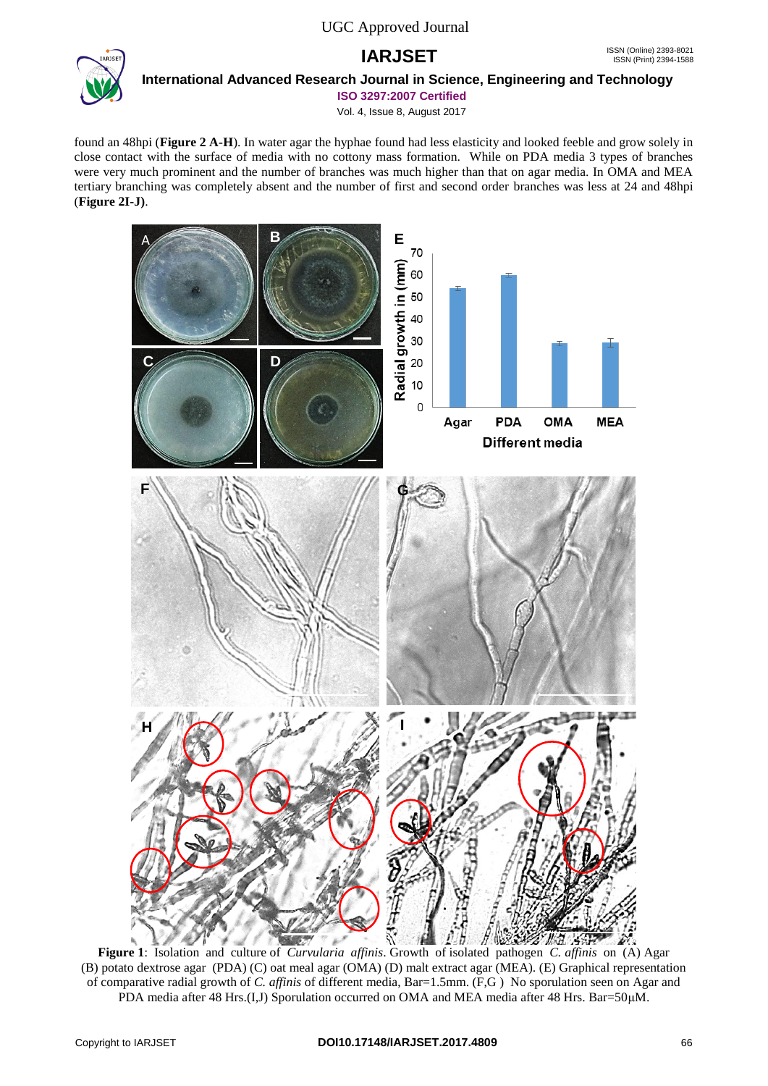

#### **International Advanced Research Journal in Science, Engineering and Technology**

**ISO 3297:2007 Certified**

Vol. 4, Issue 8, August 2017

found an 48hpi (**Figure 2 A-H**). In water agar the hyphae found had less elasticity and looked feeble and grow solely in close contact with the surface of media with no cottony mass formation. While on PDA media 3 types of branches were very much prominent and the number of branches was much higher than that on agar media. In OMA and MEA tertiary branching was completely absent and the number of first and second order branches was less at 24 and 48hpi (**Figure 2I-J)**.



**Figure 1**: Isolation and culture of *Curvularia affinis*. Growth of isolated pathogen *C. affinis* on (A) Agar (B) potato dextrose agar (PDA) (C) oat meal agar (OMA) (D) malt extract agar (MEA). (E) Graphical representation of comparative radial growth of *C. affinis* of different media, Bar=1.5mm. (F,G ) No sporulation seen on Agar and PDA media after 48 Hrs.(I,J) Sporulation occurred on OMA and MEA media after 48 Hrs. Bar=50μM.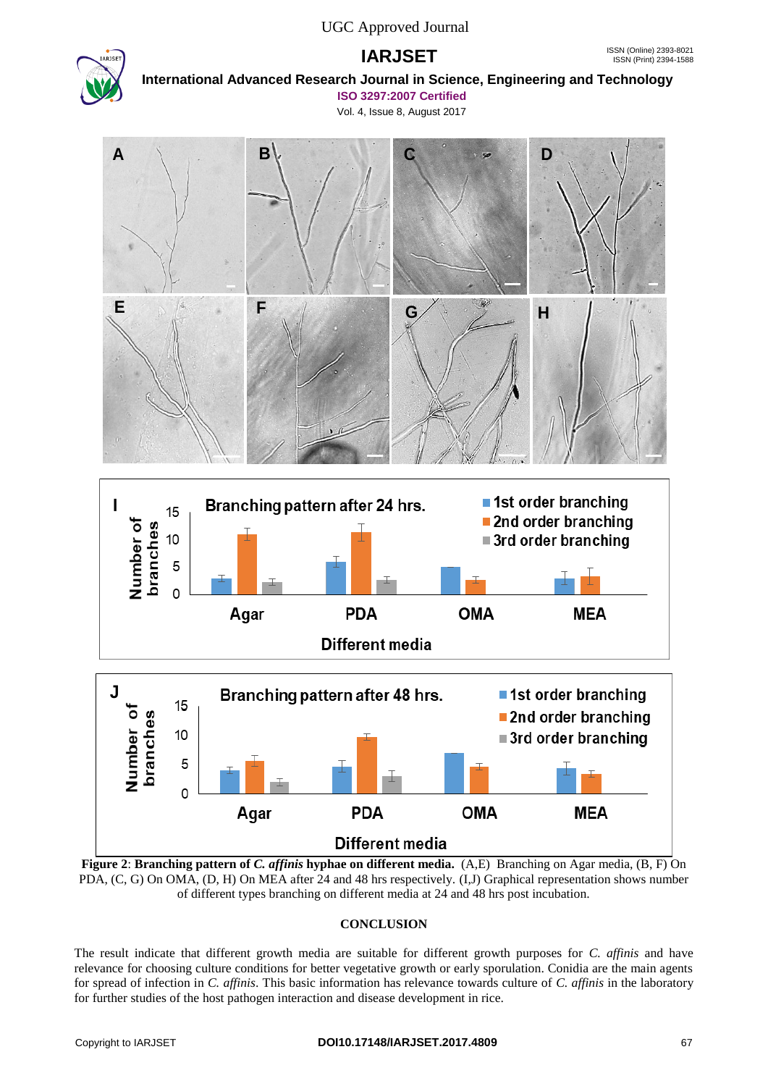

# **International Advanced Research Journal in Science, Engineering and Technology**

**ISO 3297:2007 Certified** Vol. 4, Issue 8, August 2017



**Figure 2**: **Branching pattern of** *C. affinis* **hyphae on different media.** (A,E) Branching on Agar media, (B, F) On PDA, (C, G) On OMA, (D, H) On MEA after 24 and 48 hrs respectively. (I,J) Graphical representation shows number of different types branching on different media at 24 and 48 hrs post incubation.

# **CONCLUSION**

The result indicate that different growth media are suitable for different growth purposes for *C. affinis* and have relevance for choosing culture conditions for better vegetative growth or early sporulation. Conidia are the main agents for spread of infection in *C. affinis*. This basic information has relevance towards culture of *C. affinis* in the laboratory